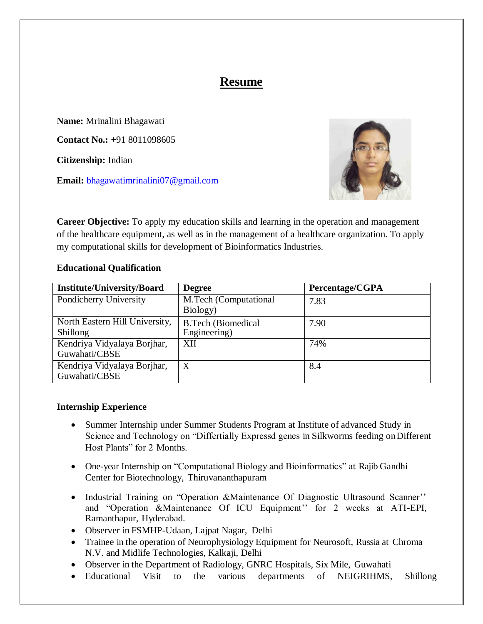# **Resume**

**Name:** Mrinalini Bhagawati **Contact No.: +**91 8011098605 **Citizenship:** Indian

**Email:** [bhagawatimrinalini07@gmail.com](mailto:bhagawatimrinalini07@gmail.com)



**Career Objective:** To apply my education skills and learning in the operation and management of the healthcare equipment, as well as in the management of a healthcare organization. To apply my computational skills for development of Bioinformatics Industries.

### **Educational Qualification**

| <b>Institute/University/Board</b> | <b>Degree</b>             | Percentage/CGPA |
|-----------------------------------|---------------------------|-----------------|
| Pondicherry University            | M.Tech (Computational     | 7.83            |
|                                   | Biology)                  |                 |
| North Eastern Hill University,    | <b>B.Tech (Biomedical</b> | 7.90            |
| <b>Shillong</b>                   | Engineering)              |                 |
| Kendriya Vidyalaya Borjhar,       | XII                       | 74%             |
| Guwahati/CBSE                     |                           |                 |
| Kendriya Vidyalaya Borjhar,       | $\boldsymbol{X}$          | 8.4             |
| Guwahati/CBSE                     |                           |                 |

### **Internship Experience**

- Summer Internship under Summer Students Program at Institute of advanced Study in Science and Technology on "Differtially Expressd genes in Silkworms feeding onDifferent Host Plants" for 2 Months.
- One-year Internship on "Computational Biology and Bioinformatics" at Rajib Gandhi Center for Biotechnology, Thiruvananthapuram
- Industrial Training on "Operation &Maintenance Of Diagnostic Ultrasound Scanner" and "Operation &Maintenance Of ICU Equipment'' for 2 weeks at ATI-EPI, Ramanthapur, Hyderabad.
- Observer in FSMHP-Udaan, Lajpat Nagar, Delhi
- Trainee in the operation of Neurophysiology Equipment for Neurosoft, Russia at Chroma N.V. and Midlife Technologies, Kalkaji, Delhi
- Observer in the Department of Radiology, GNRC Hospitals, Six Mile, Guwahati
- Educational Visit to the various departments of NEIGRIHMS, Shillong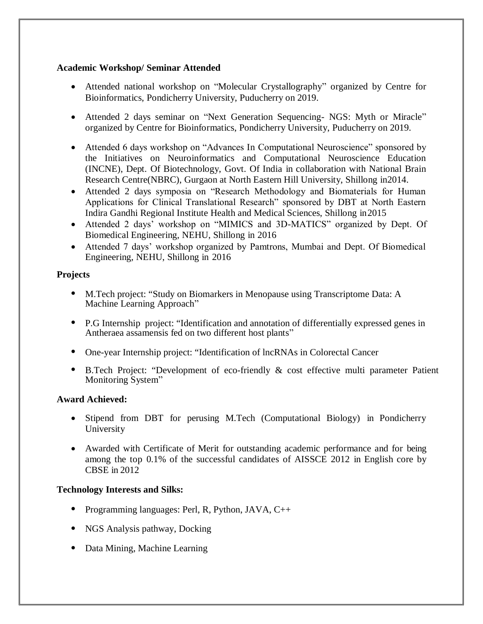## **Academic Workshop/ Seminar Attended**

- Attended national workshop on "Molecular Crystallography" organized by Centre for Bioinformatics, Pondicherry University, Puducherry on 2019.
- Attended 2 days seminar on "Next Generation Sequencing- NGS: Myth or Miracle" organized by Centre for Bioinformatics, Pondicherry University, Puducherry on 2019.
- Attended 6 days workshop on "Advances In Computational Neuroscience" sponsored by the Initiatives on Neuroinformatics and Computational Neuroscience Education (INCNE), Dept. Of Biotechnology, Govt. Of India in collaboration with National Brain Research Centre(NBRC), Gurgaon at North Eastern Hill University, Shillong in2014.
- Attended 2 days symposia on "Research Methodology and Biomaterials for Human Applications for Clinical Translational Research" sponsored by DBT at North Eastern Indira Gandhi Regional Institute Health and Medical Sciences, Shillong in2015
- Attended 2 days' workshop on "MIMICS and 3D-MATICS" organized by Dept. Of Biomedical Engineering, NEHU, Shillong in 2016
- Attended 7 days' workshop organized by Pamtrons, Mumbai and Dept. Of Biomedical Engineering, NEHU, Shillong in 2016

## **Projects**

- M.Tech project: "Study on Biomarkers in Menopause using Transcriptome Data: A Machine Learning Approach"
- P.G Internship project: "Identification and annotation of differentially expressed genes in Antheraea assamensis fed on two different host plants"
- One-year Internship project: "Identification of lncRNAs in Colorectal Cancer
- B.Tech Project: "Development of eco-friendly & cost effective multi parameter PatientMonitoring System"

### **Award Achieved:**

- Stipend from DBT for perusing M.Tech (Computational Biology) in Pondicherry University
- Awarded with Certificate of Merit for outstanding academic performance and for being among the top 0.1% of the successful candidates of AISSCE 2012 in English core by CBSE in 2012

## **Technology Interests and Silks:**

- Programming languages: Perl, R, Python, JAVA, C++
- NGS Analysis pathway, Docking
- Data Mining, Machine Learning